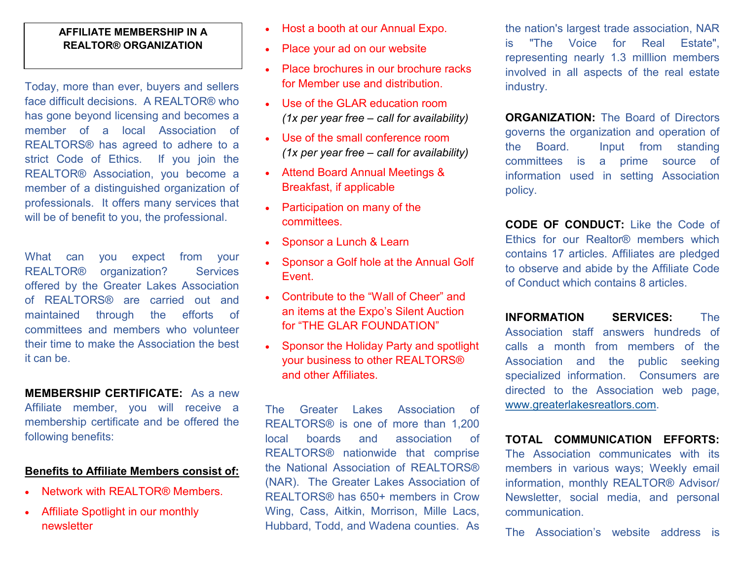## **AFFILIATE MEMBERSHIP IN A REALTOR® ORGANIZATION**

Today, more than ever, buyers and sellers face difficult decisions. A REALTOR® who has gone beyond licensing and becomes a member of a local Association of REALTORS® has agreed to adhere to a strict Code of Ethics. If you join the REALTOR® Association, you become a member of a distinguished organization of professionals. It offers many services that will be of benefit to you, the professional.

What can you expect from your REALTOR<sup>®</sup> organization? Services offered by the Greater Lakes Association of REALTORS® are carried out and maintained through the efforts of committees and members who volunteer their time to make the Association the best it can be.

## **MEMBERSHIP CERTIFICATE:** As a new Affiliate member, you will receive a membership certificate and be offered the following benefits:

## **Benefits to Affiliate Members consist of:**

- Network with REALTOR® Members.
- Affiliate Spotlight in our monthly newsletter
- Host a booth at our Annual Expo.
- Place your ad on our website
- Place brochures in our brochure racks for Member use and distribution.
- Use of the GLAR education room *(1x per year free – call for availability)*
- Use of the small conference room *(1x per year free – call for availability)*
- Attend Board Annual Meetings & Breakfast, if applicable
- Participation on many of the committees.
- Sponsor a Lunch & Learn
- Sponsor a Golf hole at the Annual Golf Event.
- Contribute to the "Wall of Cheer" and an items at the Expo's Silent Auction for "THE GLAR FOUNDATION"
- Sponsor the Holiday Party and spotlight your business to other REALTORS® and other Affiliates.

The Greater Lakes Association of REALTORS® is one of more than 1,200 local boards and association of REALTORS® nationwide that comprise the National Association of REALTORS® (NAR). The Greater Lakes Association of REALTORS® has 650+ members in Crow Wing, Cass, Aitkin, Morrison, Mille Lacs, Hubbard, Todd, and Wadena counties. As

the nation's largest trade association, NAR is "The Voice for Real Estate", representing nearly 1.3 milllion members involved in all aspects of the real estate industry.

**ORGANIZATION:** The Board of Directors governs the organization and operation of the Board. Input from standing committees is a prime source of information used in setting Association policy.

**CODE OF CONDUCT:** Like the Code of Ethics for our Realtor® members which contains 17 articles. Affiliates are pledged to observe and abide by the Affiliate Code of Conduct which contains 8 articles.

**INFORMATION SERVICES:** The Association staff answers hundreds of calls a month from members of the Association and the public seeking specialized information. Consumers are directed to the Association web page, [www.greaterlakesreatlors.com.](http://www.greaterlakesrealtors.com) 

**TOTAL COMMUNICATION EFFORTS:**

The Association communicates with its members in various ways; Weekly email information, monthly REALTOR® Advisor/ Newsletter, social media, and personal communication.

The Association's website address is